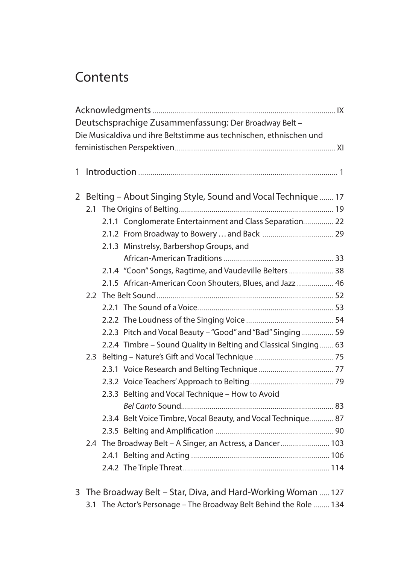## **Contents**

| Deutschsprachige Zusammenfassung: Der Broadway Belt -          |                                                               |                                                                     |  |  |  |  |  |  |
|----------------------------------------------------------------|---------------------------------------------------------------|---------------------------------------------------------------------|--|--|--|--|--|--|
|                                                                |                                                               | Die Musicaldiva und ihre Beltstimme aus technischen, ethnischen und |  |  |  |  |  |  |
|                                                                |                                                               |                                                                     |  |  |  |  |  |  |
|                                                                |                                                               |                                                                     |  |  |  |  |  |  |
|                                                                |                                                               |                                                                     |  |  |  |  |  |  |
|                                                                |                                                               |                                                                     |  |  |  |  |  |  |
| 2 Belting - About Singing Style, Sound and Vocal Technique  17 |                                                               |                                                                     |  |  |  |  |  |  |
| 2.1                                                            |                                                               |                                                                     |  |  |  |  |  |  |
|                                                                |                                                               | 2.1.1 Conglomerate Entertainment and Class Separation 22            |  |  |  |  |  |  |
|                                                                |                                                               |                                                                     |  |  |  |  |  |  |
|                                                                |                                                               | 2.1.3 Minstrelsy, Barbershop Groups, and                            |  |  |  |  |  |  |
|                                                                |                                                               |                                                                     |  |  |  |  |  |  |
|                                                                |                                                               | 2.1.4 "Coon" Songs, Ragtime, and Vaudeville Belters  38             |  |  |  |  |  |  |
|                                                                |                                                               | 2.1.5 African-American Coon Shouters, Blues, and Jazz  46           |  |  |  |  |  |  |
|                                                                |                                                               |                                                                     |  |  |  |  |  |  |
|                                                                |                                                               |                                                                     |  |  |  |  |  |  |
|                                                                |                                                               |                                                                     |  |  |  |  |  |  |
|                                                                |                                                               | 2.2.3 Pitch and Vocal Beauty - "Good" and "Bad" Singing 59          |  |  |  |  |  |  |
|                                                                |                                                               | 2.2.4 Timbre - Sound Quality in Belting and Classical Singing 63    |  |  |  |  |  |  |
|                                                                |                                                               |                                                                     |  |  |  |  |  |  |
|                                                                |                                                               |                                                                     |  |  |  |  |  |  |
|                                                                |                                                               |                                                                     |  |  |  |  |  |  |
|                                                                |                                                               | 2.3.3 Belting and Vocal Technique - How to Avoid                    |  |  |  |  |  |  |
|                                                                |                                                               |                                                                     |  |  |  |  |  |  |
|                                                                |                                                               | 2.3.4 Belt Voice Timbre, Vocal Beauty, and Vocal Technique 87       |  |  |  |  |  |  |
|                                                                |                                                               |                                                                     |  |  |  |  |  |  |
|                                                                |                                                               | 2.4 The Broadway Belt - A Singer, an Actress, a Dancer 103          |  |  |  |  |  |  |
|                                                                |                                                               |                                                                     |  |  |  |  |  |  |
|                                                                |                                                               |                                                                     |  |  |  |  |  |  |
|                                                                |                                                               |                                                                     |  |  |  |  |  |  |
|                                                                | 3 The Broadway Belt - Star, Diva, and Hard-Working Woman  127 |                                                                     |  |  |  |  |  |  |

3.1 The Actor's Personage – The Broadway Belt Behind the Role ........ 134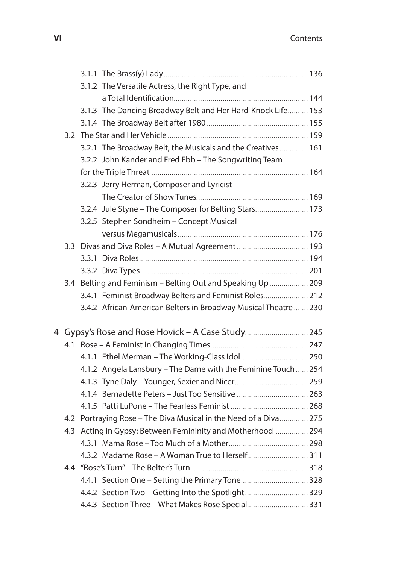|   |  |                                                                  | 3.1.2 The Versatile Actress, the Right Type, and                |  |  |  |
|---|--|------------------------------------------------------------------|-----------------------------------------------------------------|--|--|--|
|   |  |                                                                  |                                                                 |  |  |  |
|   |  |                                                                  | 3.1.3 The Dancing Broadway Belt and Her Hard-Knock Life 153     |  |  |  |
|   |  |                                                                  |                                                                 |  |  |  |
|   |  |                                                                  |                                                                 |  |  |  |
|   |  |                                                                  | 3.2.1 The Broadway Belt, the Musicals and the Creatives 161     |  |  |  |
|   |  |                                                                  | 3.2.2 John Kander and Fred Ebb - The Songwriting Team           |  |  |  |
|   |  |                                                                  |                                                                 |  |  |  |
|   |  |                                                                  | 3.2.3 Jerry Herman, Composer and Lyricist -                     |  |  |  |
|   |  |                                                                  |                                                                 |  |  |  |
|   |  |                                                                  | 3.2.4 Jule Styne - The Composer for Belting Stars 173           |  |  |  |
|   |  |                                                                  | 3.2.5 Stephen Sondheim - Concept Musical                        |  |  |  |
|   |  |                                                                  |                                                                 |  |  |  |
|   |  |                                                                  | 3.3 Divas and Diva Roles - A Mutual Agreement  193              |  |  |  |
|   |  |                                                                  |                                                                 |  |  |  |
|   |  |                                                                  |                                                                 |  |  |  |
|   |  |                                                                  | 3.4 Belting and Feminism - Belting Out and Speaking Up  209     |  |  |  |
|   |  |                                                                  | 3.4.1 Feminist Broadway Belters and Feminist Roles 212          |  |  |  |
|   |  |                                                                  | 3.4.2 African-American Belters in Broadway Musical Theatre  230 |  |  |  |
| 4 |  |                                                                  |                                                                 |  |  |  |
|   |  |                                                                  |                                                                 |  |  |  |
|   |  |                                                                  | 4.1.1 Ethel Merman - The Working-Class Idol 250                 |  |  |  |
|   |  |                                                                  | 4.1.2 Angela Lansbury - The Dame with the Feminine Touch  254   |  |  |  |
|   |  |                                                                  |                                                                 |  |  |  |
|   |  |                                                                  |                                                                 |  |  |  |
|   |  |                                                                  |                                                                 |  |  |  |
|   |  | 4.2 Portraying Rose - The Diva Musical in the Need of a Diva 275 |                                                                 |  |  |  |
|   |  |                                                                  | 4.3 Acting in Gypsy: Between Femininity and Motherhood  294     |  |  |  |
|   |  |                                                                  |                                                                 |  |  |  |
|   |  |                                                                  | 4.3.2 Madame Rose - A Woman True to Herself 311                 |  |  |  |
|   |  |                                                                  |                                                                 |  |  |  |
|   |  |                                                                  | 4.4.1 Section One - Setting the Primary Tone 328                |  |  |  |
|   |  |                                                                  | 4.4.2 Section Two - Getting Into the Spotlight 329              |  |  |  |
|   |  |                                                                  | 4.4.3 Section Three - What Makes Rose Special 331               |  |  |  |